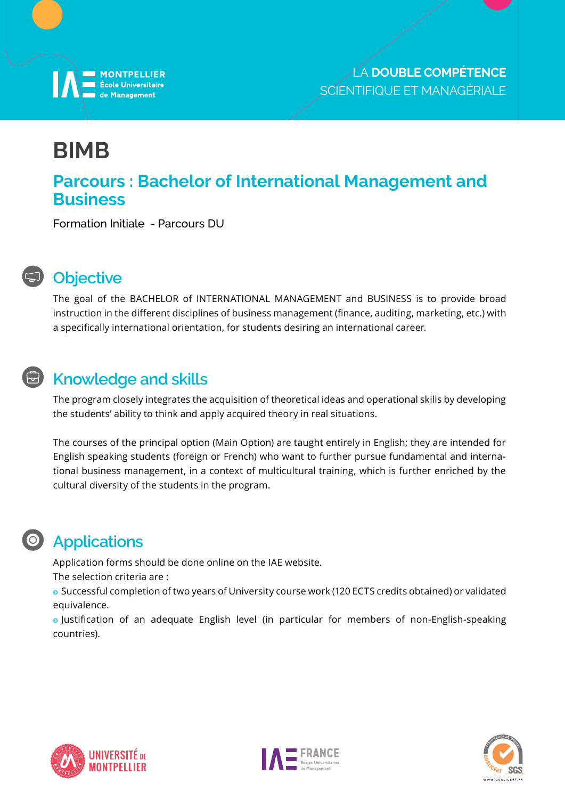

# **BIMB**

#### **Parcours : Bachelor of International Management and Business**

Formation Initiale - Parcours DU



#### **Objective**

The goal of the BACHELOR of INTERNATIONAL MANAGEMENT and BUSINESS is to provide broad instruction in the different disciplines of business management (finance, auditing, marketing, etc.) with a specifically international orientation, for students desiring an international career.

### **E** Knowledge and skills

The program closely integrates the acquisition of theoretical ideas and operational skills by developing the students' ability to think and apply acquired theory in real situations.

The courses of the principal option (Main Option) are taught entirely in English; they are intended for English speaking students (foreign or French) who want to further pursue fundamental and international business management, in a context of multicultural training, which is further enriched by the cultural diversity of the students in the program.

#### **Applications**

Application forms should be done online on the IAE website.

The selection criteria are :

<sup>ĵ</sup> Successful completion of two years of University course work (120 ECTS credits obtained) or validated equivalence.

<sup>ĵ</sup> Justification of an adequate English level (in particular for members of non-English-speaking countries).